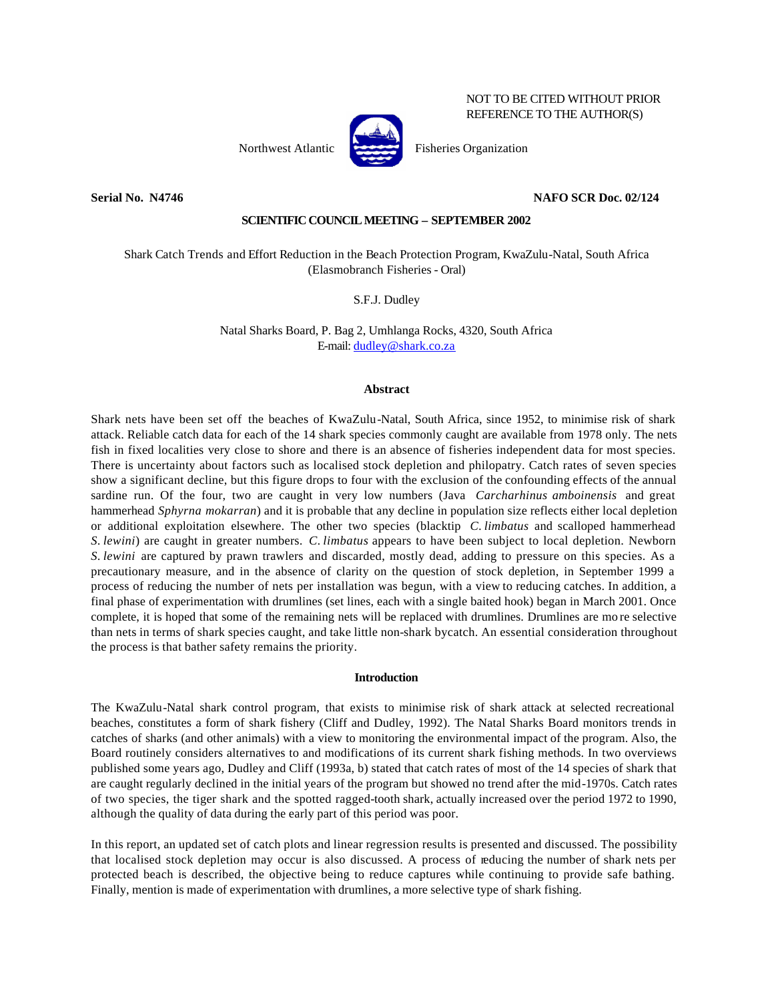NOT TO BE CITED WITHOUT PRIOR REFERENCE TO THE AUTHOR(S)



Northwest Atlantic Fisheries Organization

# **Serial No. N4746 NAFO SCR Doc. 02/124**

# **SCIENTIFIC COUNCIL MEETING – SEPTEMBER 2002**

Shark Catch Trends and Effort Reduction in the Beach Protection Program, KwaZulu-Natal, South Africa (Elasmobranch Fisheries - Oral)

S.F.J. Dudley

Natal Sharks Board, P. Bag 2, Umhlanga Rocks, 4320, South Africa E-mail: dudley@shark.co.za

# **Abstract**

Shark nets have been set off the beaches of KwaZulu-Natal, South Africa, since 1952, to minimise risk of shark attack. Reliable catch data for each of the 14 shark species commonly caught are available from 1978 only. The nets fish in fixed localities very close to shore and there is an absence of fisheries independent data for most species. There is uncertainty about factors such as localised stock depletion and philopatry. Catch rates of seven species show a significant decline, but this figure drops to four with the exclusion of the confounding effects of the annual sardine run. Of the four, two are caught in very low numbers (Java *Carcharhinus amboinensis* and great hammerhead *Sphyrna mokarran*) and it is probable that any decline in population size reflects either local depletion or additional exploitation elsewhere. The other two species (blacktip *C. limbatus* and scalloped hammerhead *S. lewini*) are caught in greater numbers. *C. limbatus* appears to have been subject to local depletion. Newborn *S. lewini* are captured by prawn trawlers and discarded, mostly dead, adding to pressure on this species. As a precautionary measure, and in the absence of clarity on the question of stock depletion, in September 1999 a process of reducing the number of nets per installation was begun, with a view to reducing catches. In addition, a final phase of experimentation with drumlines (set lines, each with a single baited hook) began in March 2001. Once complete, it is hoped that some of the remaining nets will be replaced with drumlines. Drumlines are mo re selective than nets in terms of shark species caught, and take little non-shark bycatch. An essential consideration throughout the process is that bather safety remains the priority.

### **Introduction**

The KwaZulu-Natal shark control program, that exists to minimise risk of shark attack at selected recreational beaches, constitutes a form of shark fishery (Cliff and Dudley, 1992). The Natal Sharks Board monitors trends in catches of sharks (and other animals) with a view to monitoring the environmental impact of the program. Also, the Board routinely considers alternatives to and modifications of its current shark fishing methods. In two overviews published some years ago, Dudley and Cliff (1993a, b) stated that catch rates of most of the 14 species of shark that are caught regularly declined in the initial years of the program but showed no trend after the mid-1970s. Catch rates of two species, the tiger shark and the spotted ragged-tooth shark, actually increased over the period 1972 to 1990, although the quality of data during the early part of this period was poor.

In this report, an updated set of catch plots and linear regression results is presented and discussed. The possibility that localised stock depletion may occur is also discussed. A process of reducing the number of shark nets per protected beach is described, the objective being to reduce captures while continuing to provide safe bathing. Finally, mention is made of experimentation with drumlines, a more selective type of shark fishing.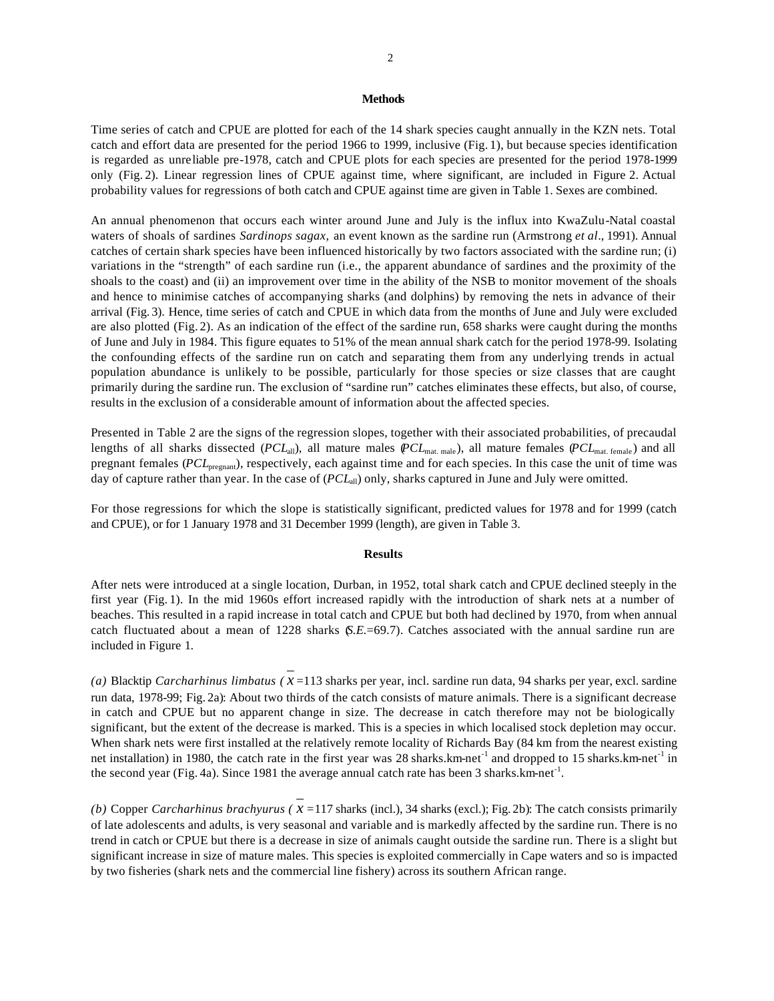#### **Methods**

Time series of catch and CPUE are plotted for each of the 14 shark species caught annually in the KZN nets. Total catch and effort data are presented for the period 1966 to 1999, inclusive (Fig. 1), but because species identification is regarded as unreliable pre-1978, catch and CPUE plots for each species are presented for the period 1978-1999 only (Fig. 2). Linear regression lines of CPUE against time, where significant, are included in Figure 2. Actual probability values for regressions of both catch and CPUE against time are given in Table 1. Sexes are combined.

An annual phenomenon that occurs each winter around June and July is the influx into KwaZulu-Natal coastal waters of shoals of sardines *Sardinops sagax,* an event known as the sardine run (Armstrong *et al*., 1991). Annual catches of certain shark species have been influenced historically by two factors associated with the sardine run; (i) variations in the "strength" of each sardine run (i.e., the apparent abundance of sardines and the proximity of the shoals to the coast) and (ii) an improvement over time in the ability of the NSB to monitor movement of the shoals and hence to minimise catches of accompanying sharks (and dolphins) by removing the nets in advance of their arrival (Fig. 3). Hence, time series of catch and CPUE in which data from the months of June and July were excluded are also plotted (Fig. 2). As an indication of the effect of the sardine run, 658 sharks were caught during the months of June and July in 1984. This figure equates to 51% of the mean annual shark catch for the period 1978-99. Isolating the confounding effects of the sardine run on catch and separating them from any underlying trends in actual population abundance is unlikely to be possible, particularly for those species or size classes that are caught primarily during the sardine run. The exclusion of "sardine run" catches eliminates these effects, but also, of course, results in the exclusion of a considerable amount of information about the affected species.

Presented in Table 2 are the signs of the regression slopes, together with their associated probabilities, of precaudal lengths of all sharks dissected (*PCL*<sub>all</sub>), all mature males (*PCL*<sub>mat. male), all mature females (*PCL*<sub>mat. female) and all</sub></sub> pregnant females (*PCL*pregnant), respectively, each against time and for each species. In this case the unit of time was day of capture rather than year. In the case of ( $PCL<sub>all</sub>$ ) only, sharks captured in June and July were omitted.

For those regressions for which the slope is statistically significant, predicted values for 1978 and for 1999 (catch and CPUE), or for 1 January 1978 and 31 December 1999 (length), are given in Table 3.

### **Results**

After nets were introduced at a single location, Durban, in 1952, total shark catch and CPUE declined steeply in the first year (Fig. 1). In the mid 1960s effort increased rapidly with the introduction of shark nets at a number of beaches. This resulted in a rapid increase in total catch and CPUE but both had declined by 1970, from when annual catch fluctuated about a mean of 1228 sharks (*S.E.*=69.7). Catches associated with the annual sardine run are included in Figure 1.

*(a)* Blacktip *Carcharhinus limbatus ( x* =113 sharks per year, incl. sardine run data, 94 sharks per year, excl. sardine run data, 1978-99; Fig. 2a): About two thirds of the catch consists of mature animals. There is a significant decrease in catch and CPUE but no apparent change in size. The decrease in catch therefore may not be biologically significant, but the extent of the decrease is marked. This is a species in which localised stock depletion may occur. When shark nets were first installed at the relatively remote locality of Richards Bay (84 km from the nearest existing net installation) in 1980, the catch rate in the first year was 28 sharks.km-net<sup>-1</sup> and dropped to 15 sharks.km-net<sup>-1</sup> in the second year (Fig. 4a). Since 1981 the average annual catch rate has been 3 sharks. km-net<sup>-1</sup>.

*(b)* Copper *Carcharhinus brachyurus (* $x = 117$  *sharks (incl.),* 34 sharks (excl.); Fig. 2b): The catch consists primarily of late adolescents and adults, is very seasonal and variable and is markedly affected by the sardine run. There is no trend in catch or CPUE but there is a decrease in size of animals caught outside the sardine run. There is a slight but significant increase in size of mature males. This species is exploited commercially in Cape waters and so is impacted by two fisheries (shark nets and the commercial line fishery) across its southern African range.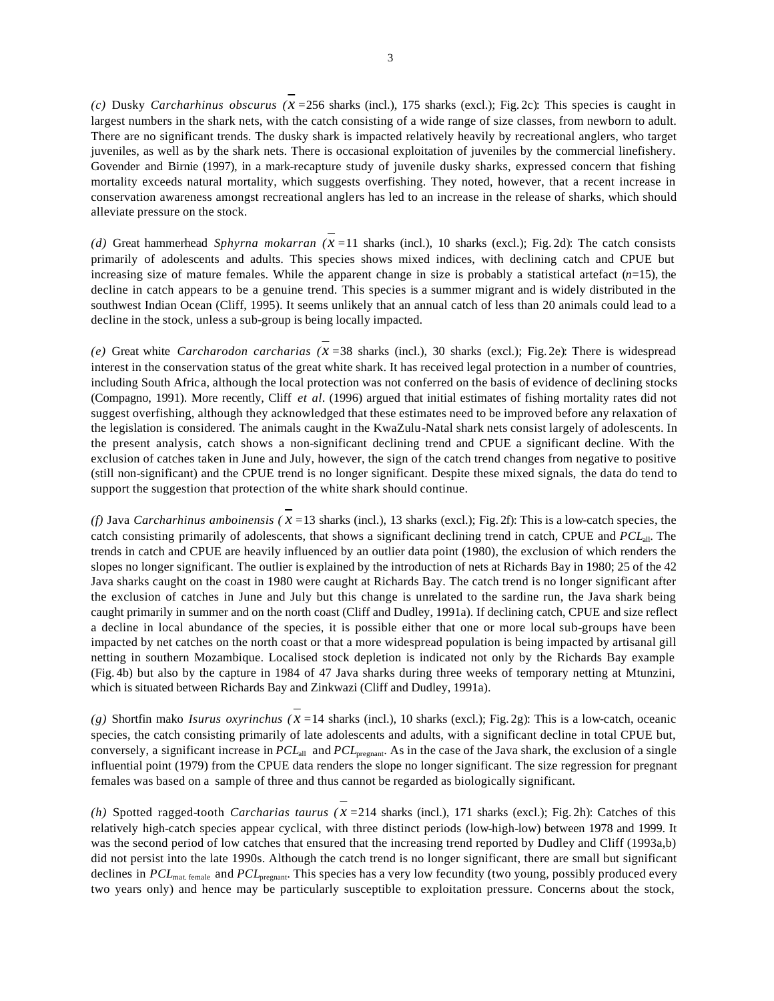*(c)* Dusky *Carcharhinus obscurus (x =*256 sharks (incl.), 175 sharks (excl.); Fig. 2c): This species is caught in largest numbers in the shark nets, with the catch consisting of a wide range of size classes, from newborn to adult. There are no significant trends. The dusky shark is impacted relatively heavily by recreational anglers, who target juveniles, as well as by the shark nets. There is occasional exploitation of juveniles by the commercial linefishery. Govender and Birnie (1997), in a mark-recapture study of juvenile dusky sharks, expressed concern that fishing mortality exceeds natural mortality, which suggests overfishing. They noted, however, that a recent increase in conservation awareness amongst recreational anglers has led to an increase in the release of sharks, which should alleviate pressure on the stock.

*(d)* Great hammerhead *Sphyrna mokarran (x =*11 sharks (incl.), 10 sharks (excl.); Fig. 2d): The catch consists primarily of adolescents and adults. This species shows mixed indices, with declining catch and CPUE but increasing size of mature females. While the apparent change in size is probably a statistical artefact  $(n=15)$ , the decline in catch appears to be a genuine trend. This species is a summer migrant and is widely distributed in the southwest Indian Ocean (Cliff, 1995). It seems unlikely that an annual catch of less than 20 animals could lead to a decline in the stock, unless a sub-group is being locally impacted.

*(e)* Great white *Carcharodon carcharias (x =*38 sharks (incl.), 30 sharks (excl.); Fig. 2e): There is widespread interest in the conservation status of the great white shark. It has received legal protection in a number of countries, including South Africa, although the local protection was not conferred on the basis of evidence of declining stocks (Compagno, 1991). More recently, Cliff *et al*. (1996) argued that initial estimates of fishing mortality rates did not suggest overfishing, although they acknowledged that these estimates need to be improved before any relaxation of the legislation is considered. The animals caught in the KwaZulu-Natal shark nets consist largely of adolescents. In the present analysis, catch shows a non-significant declining trend and CPUE a significant decline. With the exclusion of catches taken in June and July, however, the sign of the catch trend changes from negative to positive (still non-significant) and the CPUE trend is no longer significant. Despite these mixed signals, the data do tend to support the suggestion that protection of the white shark should continue.

*(f)* Java *Carcharhinus amboinensis* ( $x = 13$  sharks (incl.), 13 sharks (excl.); Fig. 2f): This is a low-catch species, the catch consisting primarily of adolescents, that shows a significant declining trend in catch, CPUE and *PCL*all. The trends in catch and CPUE are heavily influenced by an outlier data point (1980), the exclusion of which renders the slopes no longer significant. The outlier is explained by the introduction of nets at Richards Bay in 1980; 25 of the 42 Java sharks caught on the coast in 1980 were caught at Richards Bay. The catch trend is no longer significant after the exclusion of catches in June and July but this change is unrelated to the sardine run, the Java shark being caught primarily in summer and on the north coast (Cliff and Dudley, 1991a). If declining catch, CPUE and size reflect a decline in local abundance of the species, it is possible either that one or more local sub-groups have been impacted by net catches on the north coast or that a more widespread population is being impacted by artisanal gill netting in southern Mozambique. Localised stock depletion is indicated not only by the Richards Bay example (Fig. 4b) but also by the capture in 1984 of 47 Java sharks during three weeks of temporary netting at Mtunzini, which is situated between Richards Bay and Zinkwazi (Cliff and Dudley, 1991a).

*(g)* Shortfin mako *Isurus oxyrinchus ( x =*14 sharks (incl.), 10 sharks (excl.); Fig. 2g): This is a low-catch, oceanic species, the catch consisting primarily of late adolescents and adults, with a significant decline in total CPUE but, conversely, a significant increase in *PCL*<sub>all</sub> and *PCL*<sub>pregnant</sub>. As in the case of the Java shark, the exclusion of a single influential point (1979) from the CPUE data renders the slope no longer significant. The size regression for pregnant females was based on a sample of three and thus cannot be regarded as biologically significant.

*(h)* Spotted ragged-tooth *Carcharias taurus (* $x = 214$  *sharks (incl.), 171 sharks (excl.); Fig. 2h): Catches of this* relatively high-catch species appear cyclical, with three distinct periods (low-high-low) between 1978 and 1999. It was the second period of low catches that ensured that the increasing trend reported by Dudley and Cliff (1993a,b) did not persist into the late 1990s. Although the catch trend is no longer significant, there are small but significant declines in *PCL*mat. female and *PCL*pregnant. This species has a very low fecundity (two young, possibly produced every two years only) and hence may be particularly susceptible to exploitation pressure. Concerns about the stock,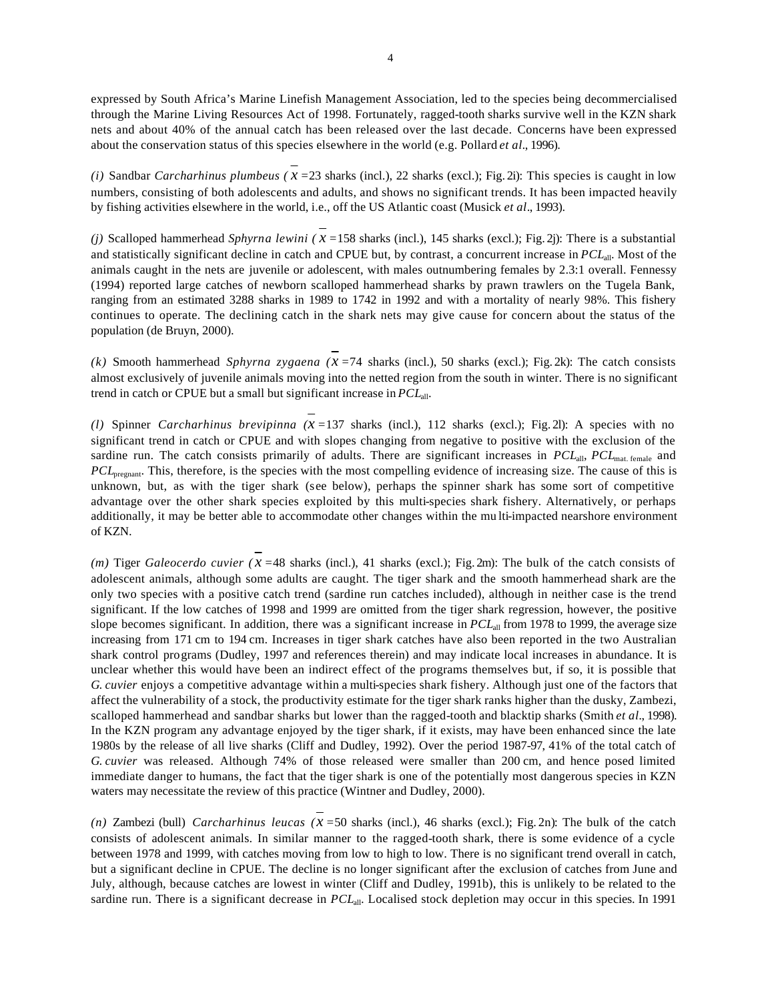expressed by South Africa's Marine Linefish Management Association, led to the species being decommercialised through the Marine Living Resources Act of 1998. Fortunately, ragged-tooth sharks survive well in the KZN shark nets and about 40% of the annual catch has been released over the last decade. Concerns have been expressed about the conservation status of this species elsewhere in the world (e.g. Pollard *et al.*, 1996).

*(i)* Sandbar *Carcharhinus plumbeus (* $x = 23$  *sharks (incl.), 22 sharks (excl.); Fig. 2i): This species is caught in low* numbers, consisting of both adolescents and adults, and shows no significant trends. It has been impacted heavily by fishing activities elsewhere in the world, i.e., off the US Atlantic coast (Musick *et al*., 1993).

*(j)* Scalloped hammerhead *Sphyrna lewini ( x =*158 sharks (incl.), 145 sharks (excl.); Fig. 2j): There is a substantial and statistically significant decline in catch and CPUE but, by contrast, a concurrent increase in *PCL*all. Most of the animals caught in the nets are juvenile or adolescent, with males outnumbering females by 2.3:1 overall. Fennessy (1994) reported large catches of newborn scalloped hammerhead sharks by prawn trawlers on the Tugela Bank, ranging from an estimated 3288 sharks in 1989 to 1742 in 1992 and with a mortality of nearly 98%. This fishery continues to operate. The declining catch in the shark nets may give cause for concern about the status of the population (de Bruyn, 2000).

*(k)* Smooth hammerhead *Sphyrna zygaena (* $x = 74$  *sharks (incl.), 50 sharks (excl.); Fig. 2k): The catch consists* almost exclusively of juvenile animals moving into the netted region from the south in winter. There is no significant trend in catch or CPUE but a small but significant increase in *PCL*all.

*(l)* Spinner *Carcharhinus brevipinna (x =*137 sharks (incl.), 112 sharks (excl.); Fig. 2l): A species with no significant trend in catch or CPUE and with slopes changing from negative to positive with the exclusion of the sardine run. The catch consists primarily of adults. There are significant increases in *PCL*<sub>all</sub>, *PCL*<sub>mat. female and</sub> *PCL*<sub>pregnant</sub>. This, therefore, is the species with the most compelling evidence of increasing size. The cause of this is unknown, but, as with the tiger shark (see below), perhaps the spinner shark has some sort of competitive advantage over the other shark species exploited by this multi-species shark fishery. Alternatively, or perhaps additionally, it may be better able to accommodate other changes within the mu lti-impacted nearshore environment of KZN.

*(m)* Tiger *Galeocerdo cuvier (* $x = 48$  *sharks (incl.), 41 sharks (excl.); Fig. 2m): The bulk of the catch consists of* adolescent animals, although some adults are caught. The tiger shark and the smooth hammerhead shark are the only two species with a positive catch trend (sardine run catches included), although in neither case is the trend significant. If the low catches of 1998 and 1999 are omitted from the tiger shark regression, however, the positive slope becomes significant. In addition, there was a significant increase in  $PCL<sub>all</sub>$  from 1978 to 1999, the average size increasing from 171 cm to 194 cm. Increases in tiger shark catches have also been reported in the two Australian shark control programs (Dudley, 1997 and references therein) and may indicate local increases in abundance. It is unclear whether this would have been an indirect effect of the programs themselves but, if so, it is possible that *G. cuvier* enjoys a competitive advantage within a multi-species shark fishery. Although just one of the factors that affect the vulnerability of a stock, the productivity estimate for the tiger shark ranks higher than the dusky, Zambezi, scalloped hammerhead and sandbar sharks but lower than the ragged-tooth and blacktip sharks (Smith *et al.*, 1998). In the KZN program any advantage enjoyed by the tiger shark, if it exists, may have been enhanced since the late 1980s by the release of all live sharks (Cliff and Dudley, 1992). Over the period 1987-97, 41% of the total catch of *G. cuvier* was released. Although 74% of those released were smaller than 200 cm, and hence posed limited immediate danger to humans, the fact that the tiger shark is one of the potentially most dangerous species in KZN waters may necessitate the review of this practice (Wintner and Dudley, 2000).

*(n)* Zambezi (bull) *Carcharhinus leucas (x =*50 sharks (incl.), 46 sharks (excl.); Fig. 2n): The bulk of the catch consists of adolescent animals. In similar manner to the ragged-tooth shark, there is some evidence of a cycle between 1978 and 1999, with catches moving from low to high to low. There is no significant trend overall in catch, but a significant decline in CPUE. The decline is no longer significant after the exclusion of catches from June and July, although, because catches are lowest in winter (Cliff and Dudley, 1991b), this is unlikely to be related to the sardine run. There is a significant decrease in *PCL*all. Localised stock depletion may occur in this species. In 1991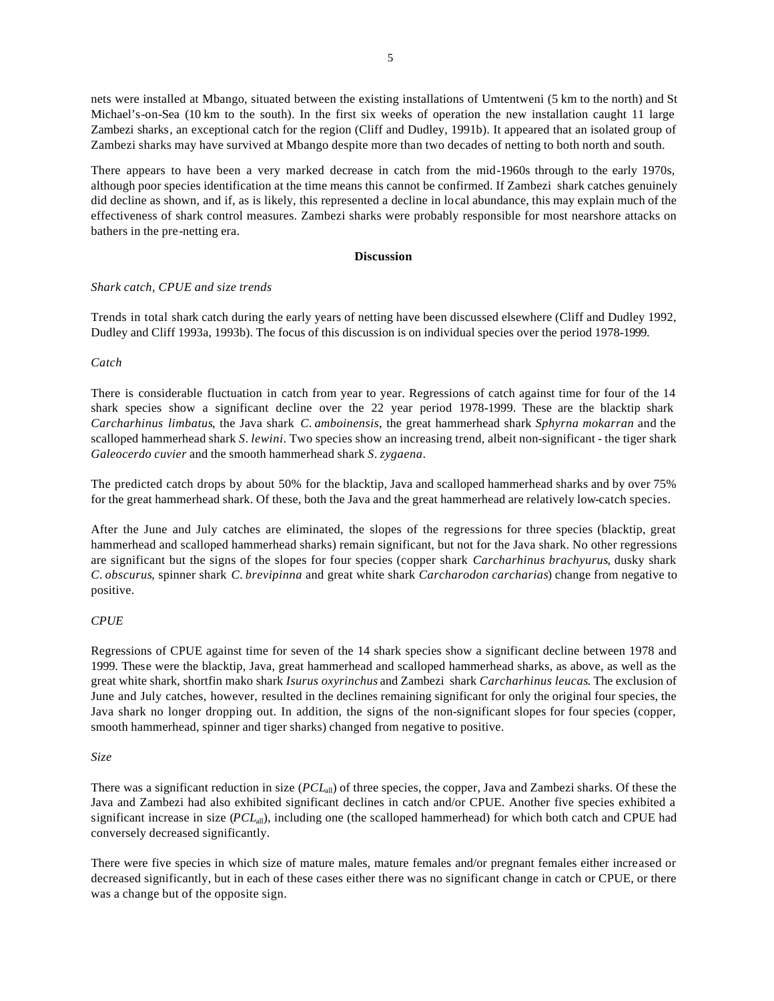nets were installed at Mbango, situated between the existing installations of Umtentweni (5 km to the north) and St Michael's-on-Sea (10 km to the south). In the first six weeks of operation the new installation caught 11 large Zambezi sharks, an exceptional catch for the region (Cliff and Dudley, 1991b). It appeared that an isolated group of Zambezi sharks may have survived at Mbango despite more than two decades of netting to both north and south.

There appears to have been a very marked decrease in catch from the mid-1960s through to the early 1970s, although poor species identification at the time means this cannot be confirmed. If Zambezi shark catches genuinely did decline as shown, and if, as is likely, this represented a decline in local abundance, this may explain much of the effectiveness of shark control measures. Zambezi sharks were probably responsible for most nearshore attacks on bathers in the pre-netting era.

#### **Discussion**

### *Shark catch, CPUE and size trends*

Trends in total shark catch during the early years of netting have been discussed elsewhere (Cliff and Dudley 1992, Dudley and Cliff 1993a, 1993b). The focus of this discussion is on individual species over the period 1978-1999.

### *Catch*

There is considerable fluctuation in catch from year to year. Regressions of catch against time for four of the 14 shark species show a significant decline over the 22 year period 1978-1999. These are the blacktip shark *Carcharhinus limbatus*, the Java shark *C. amboinensis*, the great hammerhead shark *Sphyrna mokarran* and the scalloped hammerhead shark *S. lewini*. Two species show an increasing trend, albeit non-significant - the tiger shark *Galeocerdo cuvier* and the smooth hammerhead shark *S. zygaena*.

The predicted catch drops by about 50% for the blacktip, Java and scalloped hammerhead sharks and by over 75% for the great hammerhead shark. Of these, both the Java and the great hammerhead are relatively low-catch species.

After the June and July catches are eliminated, the slopes of the regressions for three species (blacktip, great hammerhead and scalloped hammerhead sharks) remain significant, but not for the Java shark. No other regressions are significant but the signs of the slopes for four species (copper shark *Carcharhinus brachyurus*, dusky shark *C. obscurus*, spinner shark *C. brevipinna* and great white shark *Carcharodon carcharias*) change from negative to positive.

#### *CPUE*

Regressions of CPUE against time for seven of the 14 shark species show a significant decline between 1978 and 1999. These were the blacktip, Java, great hammerhead and scalloped hammerhead sharks, as above, as well as the great white shark, shortfin mako shark *Isurus oxyrinchus* and Zambezi shark *Carcharhinus leucas*. The exclusion of June and July catches, however, resulted in the declines remaining significant for only the original four species, the Java shark no longer dropping out. In addition, the signs of the non-significant slopes for four species (copper, smooth hammerhead, spinner and tiger sharks) changed from negative to positive.

### *Size*

There was a significant reduction in size (*PCL*all) of three species, the copper, Java and Zambezi sharks. Of these the Java and Zambezi had also exhibited significant declines in catch and/or CPUE. Another five species exhibited a significant increase in size (*PCL*<sub>all</sub>), including one (the scalloped hammerhead) for which both catch and CPUE had conversely decreased significantly.

There were five species in which size of mature males, mature females and/or pregnant females either increased or decreased significantly, but in each of these cases either there was no significant change in catch or CPUE, or there was a change but of the opposite sign.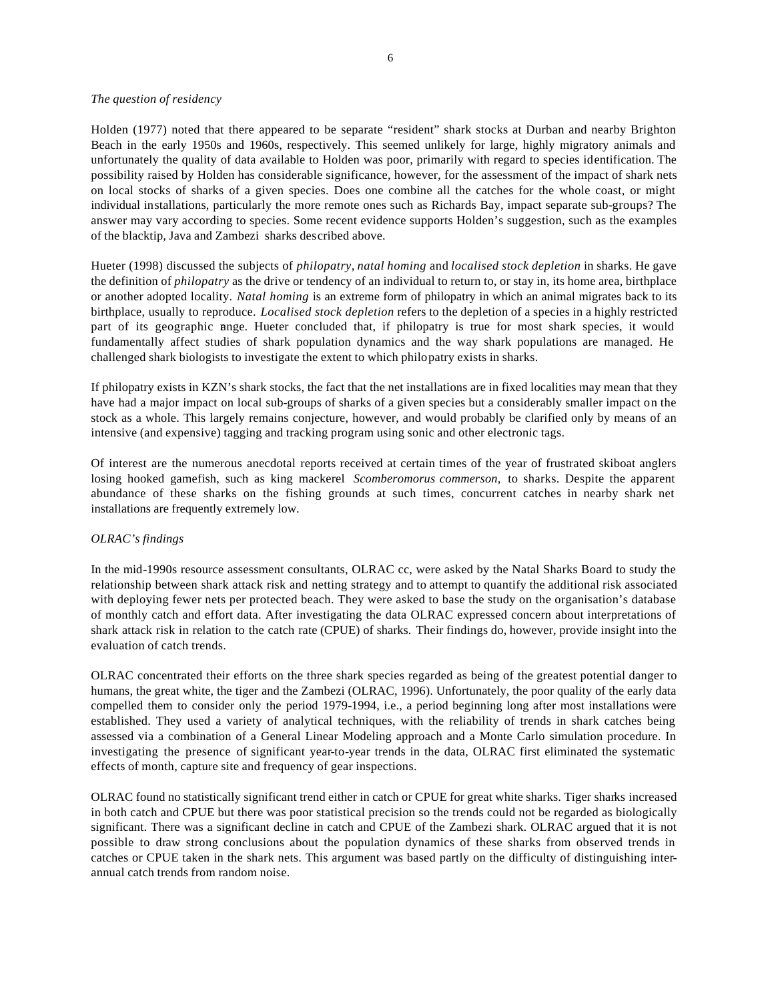# *The question of residency*

Holden (1977) noted that there appeared to be separate "resident" shark stocks at Durban and nearby Brighton Beach in the early 1950s and 1960s, respectively. This seemed unlikely for large, highly migratory animals and unfortunately the quality of data available to Holden was poor, primarily with regard to species identification. The possibility raised by Holden has considerable significance, however, for the assessment of the impact of shark nets on local stocks of sharks of a given species. Does one combine all the catches for the whole coast, or might individual installations, particularly the more remote ones such as Richards Bay, impact separate sub-groups? The answer may vary according to species. Some recent evidence supports Holden's suggestion, such as the examples of the blacktip, Java and Zambezi sharks described above.

Hueter (1998) discussed the subjects of *philopatry*, *natal homing* and *localised stock depletion* in sharks. He gave the definition of *philopatry* as the drive or tendency of an individual to return to, or stay in, its home area, birthplace or another adopted locality. *Natal homing* is an extreme form of philopatry in which an animal migrates back to its birthplace, usually to reproduce. *Localised stock depletion* refers to the depletion of a species in a highly restricted part of its geographic ange. Hueter concluded that, if philopatry is true for most shark species, it would fundamentally affect studies of shark population dynamics and the way shark populations are managed. He challenged shark biologists to investigate the extent to which philopatry exists in sharks.

If philopatry exists in KZN's shark stocks, the fact that the net installations are in fixed localities may mean that they have had a major impact on local sub-groups of sharks of a given species but a considerably smaller impact on the stock as a whole. This largely remains conjecture, however, and would probably be clarified only by means of an intensive (and expensive) tagging and tracking program using sonic and other electronic tags.

Of interest are the numerous anecdotal reports received at certain times of the year of frustrated skiboat anglers losing hooked gamefish, such as king mackerel *Scomberomorus commerson,* to sharks. Despite the apparent abundance of these sharks on the fishing grounds at such times, concurrent catches in nearby shark net installations are frequently extremely low.

# *OLRAC's findings*

In the mid-1990s resource assessment consultants, OLRAC cc, were asked by the Natal Sharks Board to study the relationship between shark attack risk and netting strategy and to attempt to quantify the additional risk associated with deploying fewer nets per protected beach. They were asked to base the study on the organisation's database of monthly catch and effort data. After investigating the data OLRAC expressed concern about interpretations of shark attack risk in relation to the catch rate (CPUE) of sharks. Their findings do, however, provide insight into the evaluation of catch trends.

OLRAC concentrated their efforts on the three shark species regarded as being of the greatest potential danger to humans, the great white, the tiger and the Zambezi (OLRAC, 1996). Unfortunately, the poor quality of the early data compelled them to consider only the period 1979-1994, i.e., a period beginning long after most installations were established. They used a variety of analytical techniques, with the reliability of trends in shark catches being assessed via a combination of a General Linear Modeling approach and a Monte Carlo simulation procedure. In investigating the presence of significant year-to-year trends in the data, OLRAC first eliminated the systematic effects of month, capture site and frequency of gear inspections.

OLRAC found no statistically significant trend either in catch or CPUE for great white sharks. Tiger sharks increased in both catch and CPUE but there was poor statistical precision so the trends could not be regarded as biologically significant. There was a significant decline in catch and CPUE of the Zambezi shark. OLRAC argued that it is not possible to draw strong conclusions about the population dynamics of these sharks from observed trends in catches or CPUE taken in the shark nets. This argument was based partly on the difficulty of distinguishing interannual catch trends from random noise.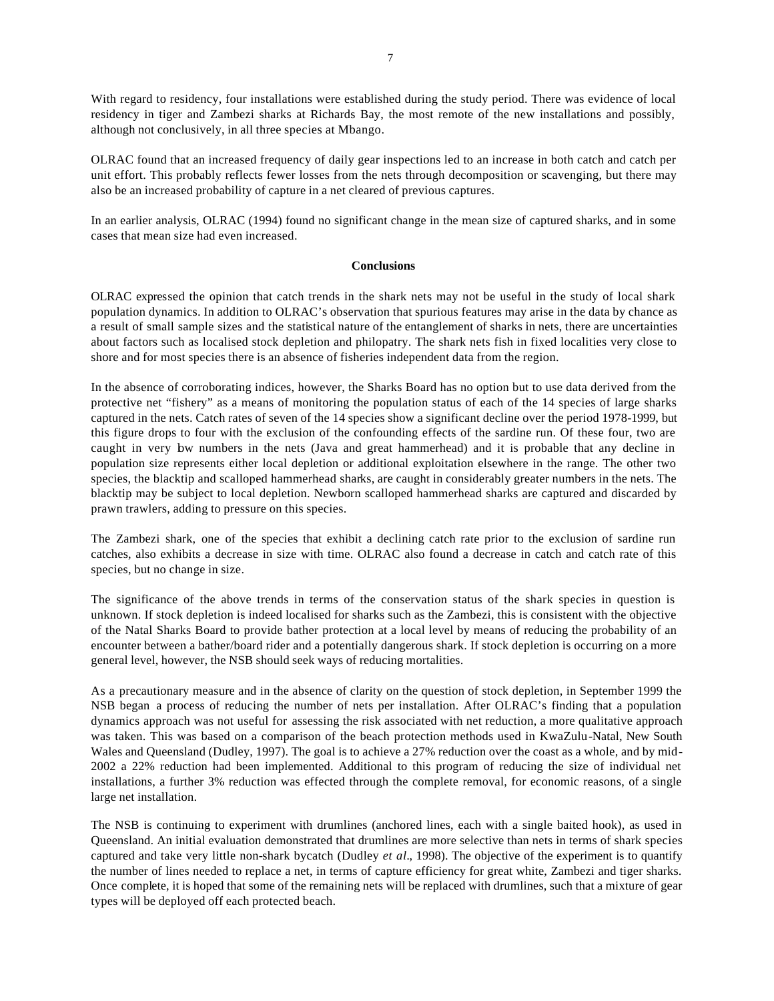With regard to residency, four installations were established during the study period. There was evidence of local residency in tiger and Zambezi sharks at Richards Bay, the most remote of the new installations and possibly, although not conclusively, in all three species at Mbango.

OLRAC found that an increased frequency of daily gear inspections led to an increase in both catch and catch per unit effort. This probably reflects fewer losses from the nets through decomposition or scavenging, but there may also be an increased probability of capture in a net cleared of previous captures.

In an earlier analysis, OLRAC (1994) found no significant change in the mean size of captured sharks, and in some cases that mean size had even increased.

#### **Conclusions**

OLRAC expressed the opinion that catch trends in the shark nets may not be useful in the study of local shark population dynamics. In addition to OLRAC's observation that spurious features may arise in the data by chance as a result of small sample sizes and the statistical nature of the entanglement of sharks in nets, there are uncertainties about factors such as localised stock depletion and philopatry. The shark nets fish in fixed localities very close to shore and for most species there is an absence of fisheries independent data from the region.

In the absence of corroborating indices, however, the Sharks Board has no option but to use data derived from the protective net "fishery" as a means of monitoring the population status of each of the 14 species of large sharks captured in the nets. Catch rates of seven of the 14 species show a significant decline over the period 1978-1999, but this figure drops to four with the exclusion of the confounding effects of the sardine run. Of these four, two are caught in very low numbers in the nets (Java and great hammerhead) and it is probable that any decline in population size represents either local depletion or additional exploitation elsewhere in the range. The other two species, the blacktip and scalloped hammerhead sharks, are caught in considerably greater numbers in the nets. The blacktip may be subject to local depletion. Newborn scalloped hammerhead sharks are captured and discarded by prawn trawlers, adding to pressure on this species.

The Zambezi shark, one of the species that exhibit a declining catch rate prior to the exclusion of sardine run catches, also exhibits a decrease in size with time. OLRAC also found a decrease in catch and catch rate of this species, but no change in size.

The significance of the above trends in terms of the conservation status of the shark species in question is unknown. If stock depletion is indeed localised for sharks such as the Zambezi, this is consistent with the objective of the Natal Sharks Board to provide bather protection at a local level by means of reducing the probability of an encounter between a bather/board rider and a potentially dangerous shark. If stock depletion is occurring on a more general level, however, the NSB should seek ways of reducing mortalities.

As a precautionary measure and in the absence of clarity on the question of stock depletion, in September 1999 the NSB began a process of reducing the number of nets per installation. After OLRAC's finding that a population dynamics approach was not useful for assessing the risk associated with net reduction, a more qualitative approach was taken. This was based on a comparison of the beach protection methods used in KwaZulu-Natal, New South Wales and Queensland (Dudley, 1997). The goal is to achieve a 27% reduction over the coast as a whole, and by mid-2002 a 22% reduction had been implemented. Additional to this program of reducing the size of individual net installations, a further 3% reduction was effected through the complete removal, for economic reasons, of a single large net installation.

The NSB is continuing to experiment with drumlines (anchored lines, each with a single baited hook), as used in Queensland. An initial evaluation demonstrated that drumlines are more selective than nets in terms of shark species captured and take very little non-shark bycatch (Dudley *et al.*, 1998). The objective of the experiment is to quantify the number of lines needed to replace a net, in terms of capture efficiency for great white, Zambezi and tiger sharks. Once complete, it is hoped that some of the remaining nets will be replaced with drumlines, such that a mixture of gear types will be deployed off each protected beach.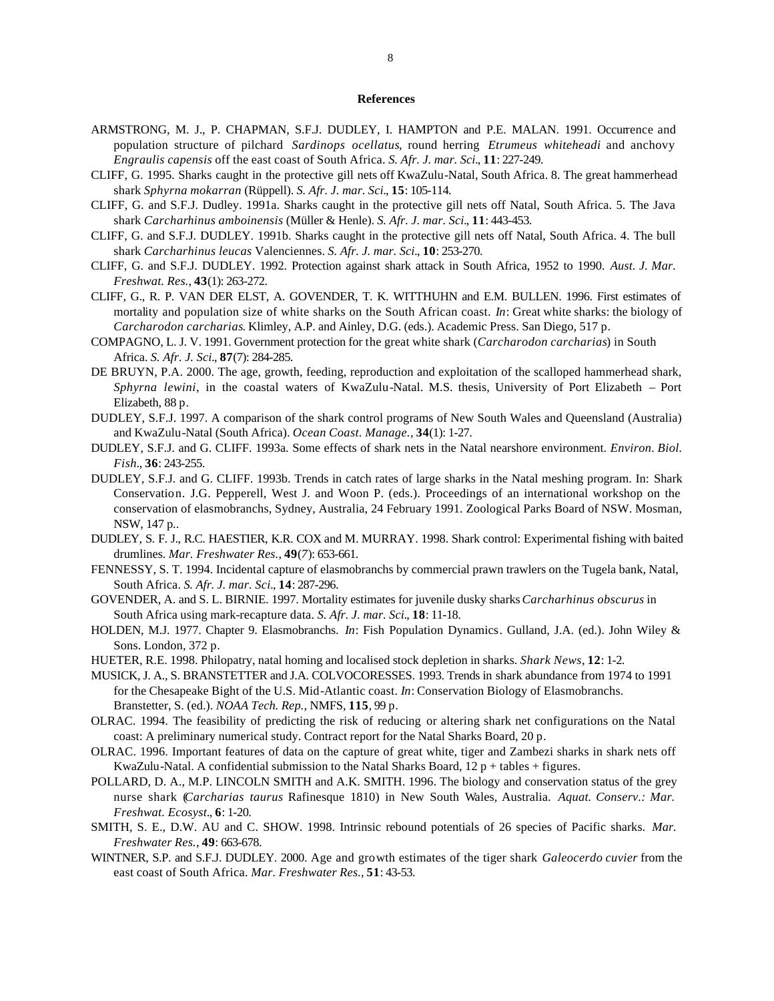#### **References**

- ARMSTRONG, M. J., P. CHAPMAN, S.F.J. DUDLEY, I. HAMPTON and P.E. MALAN. 1991. Occurrence and population structure of pilchard *Sardinops ocellatus*, round herring *Etrumeus whiteheadi* and anchovy *Engraulis capensis* off the east coast of South Africa. *S. Afr. J. mar. Sci.*, **11**: 227-249.
- CLIFF, G. 1995. Sharks caught in the protective gill nets off KwaZulu-Natal, South Africa. 8. The great hammerhead shark *Sphyrna mokarran* (Rüppell). *S. Afr. J. mar. Sci.*, **15**: 105-114.
- CLIFF, G. and S.F.J. Dudley. 1991a. Sharks caught in the protective gill nets off Natal, South Africa. 5. The Java shark *Carcharhinus amboinensis* (Müller & Henle). *S. Afr. J. mar. Sci.*, **11**: 443-453.
- CLIFF, G. and S.F.J. DUDLEY. 1991b. Sharks caught in the protective gill nets off Natal, South Africa. 4. The bull shark *Carcharhinus leucas* Valenciennes. *S. Afr. J. mar. Sci.*, **10**: 253-270.
- CLIFF, G. and S.F.J. DUDLEY. 1992. Protection against shark attack in South Africa, 1952 to 1990. *Aust. J. Mar. Freshwat. Res.*, **43**(1): 263-272.
- CLIFF, G., R. P. VAN DER ELST, A. GOVENDER, T. K. WITTHUHN and E.M. BULLEN. 1996. First estimates of mortality and population size of white sharks on the South African coast. *In*: Great white sharks: the biology of *Carcharodon carcharias*. Klimley, A.P. and Ainley, D.G. (eds.). Academic Press. San Diego, 517 p.
- COMPAGNO, L. J. V. 1991. Government protection for the great white shark (*Carcharodon carcharias*) in South Africa. *S. Afr. J. Sci.*, **87**(7): 284-285.
- DE BRUYN, P.A. 2000. The age, growth, feeding, reproduction and exploitation of the scalloped hammerhead shark, *Sphyrna lewini*, in the coastal waters of KwaZulu-Natal. M.S. thesis, University of Port Elizabeth – Port Elizabeth, 88 p.
- DUDLEY, S.F.J. 1997. A comparison of the shark control programs of New South Wales and Queensland (Australia) and KwaZulu-Natal (South Africa). *Ocean Coast. Manage.*, **34**(1): 1-27.
- DUDLEY, S.F.J. and G. CLIFF. 1993a. Some effects of shark nets in the Natal nearshore environment. *Environ. Biol. Fish.*, **36**: 243-255.
- DUDLEY, S.F.J. and G. CLIFF. 1993b. Trends in catch rates of large sharks in the Natal meshing program. In: Shark Conservation. J.G. Pepperell, West J. and Woon P. (eds.). Proceedings of an international workshop on the conservation of elasmobranchs, Sydney, Australia, 24 February 1991. Zoological Parks Board of NSW. Mosman, NSW, 147 p..
- DUDLEY, S. F. J., R.C. HAESTIER, K.R. COX and M. MURRAY. 1998. Shark control: Experimental fishing with baited drumlines. *Mar. Freshwater Res.*, **49**(*7*): 653-661.
- FENNESSY, S. T. 1994. Incidental capture of elasmobranchs by commercial prawn trawlers on the Tugela bank, Natal, South Africa. *S. Afr. J. mar. Sci.*, **14**: 287-296.
- GOVENDER, A. and S. L. BIRNIE. 1997. Mortality estimates for juvenile dusky sharks *Carcharhinus obscurus* in South Africa using mark-recapture data. *S. Afr. J. mar. Sci.*, **18**: 11-18.
- HOLDEN, M.J. 1977. Chapter 9. Elasmobranchs. *In*: Fish Population Dynamics. Gulland, J.A. (ed.). John Wiley & Sons. London, 372 p.
- HUETER, R.E. 1998. Philopatry, natal homing and localised stock depletion in sharks. *Shark News*, **12**: 1-2.
- MUSICK, J. A., S. BRANSTETTER and J.A. COLVOCORESSES. 1993. Trends in shark abundance from 1974 to 1991 for the Chesapeake Bight of the U.S. Mid-Atlantic coast. *In*: Conservation Biology of Elasmobranchs. Branstetter, S. (ed.). *NOAA Tech. Rep.,* NMFS, **115**, 99 p.
- OLRAC. 1994. The feasibility of predicting the risk of reducing or altering shark net configurations on the Natal coast: A preliminary numerical study. Contract report for the Natal Sharks Board, 20 p.
- OLRAC. 1996. Important features of data on the capture of great white, tiger and Zambezi sharks in shark nets off KwaZulu-Natal. A confidential submission to the Natal Sharks Board,  $12 p + \text{tables} + \text{figures.}$
- POLLARD, D. A., M.P. LINCOLN SMITH and A.K. SMITH. 1996. The biology and conservation status of the grey nurse shark (*Carcharias taurus* Rafinesque 1810) in New South Wales, Australia. *Aquat. Conserv.: Mar. Freshwat. Ecosyst.*, **6**: 1-20.
- SMITH, S. E., D.W. AU and C. SHOW. 1998. Intrinsic rebound potentials of 26 species of Pacific sharks. *Mar. Freshwater Res.*, **49**: 663-678.
- WINTNER, S.P. and S.F.J. DUDLEY. 2000. Age and growth estimates of the tiger shark *Galeocerdo cuvier* from the east coast of South Africa. *Mar. Freshwater Res.*, **51**: 43-53.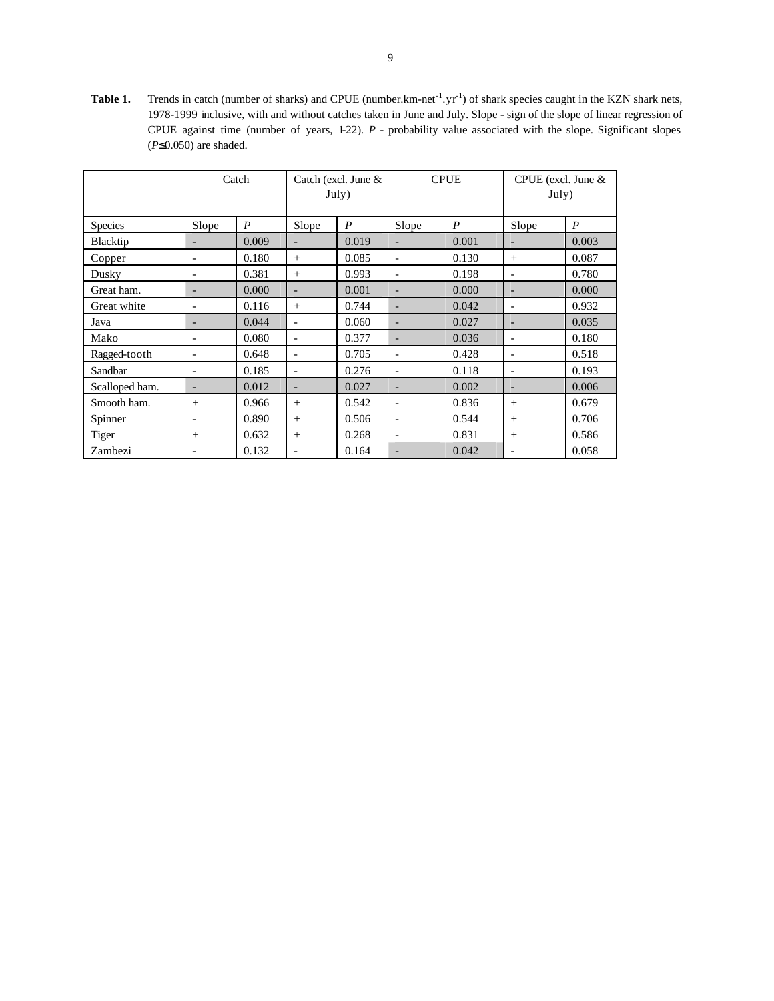**Table 1.** Trends in catch (number of sharks) and CPUE (number. km-net<sup>-1</sup>.  $yr^{-1}$ ) of shark species caught in the KZN shark nets, 1978-1999 inclusive, with and without catches taken in June and July. Slope - sign of the slope of linear regression of CPUE against time (number of years, 1-22). *P* - probability value associated with the slope. Significant slopes (*P*≤0.050) are shaded.

|                | Catch                    |                  |                          | Catch (excl. June &<br>July) |                          | <b>CPUE</b>      | CPUE (excl. June $&$<br>July) |                  |  |
|----------------|--------------------------|------------------|--------------------------|------------------------------|--------------------------|------------------|-------------------------------|------------------|--|
| <b>Species</b> | Slope                    | $\boldsymbol{P}$ | Slope                    | $\boldsymbol{P}$             | Slope                    | $\boldsymbol{P}$ | Slope                         | $\boldsymbol{P}$ |  |
| Blacktip       |                          | 0.009            |                          | 0.019                        |                          | 0.001            | $\overline{\phantom{0}}$      | 0.003            |  |
| Copper         | ۰                        | 0.180            | $^{+}$                   | 0.085                        | $\overline{\phantom{a}}$ | 0.130            | $^{+}$                        | 0.087            |  |
| Dusky          | $\overline{\phantom{a}}$ | 0.381            | $+$                      | 0.993                        | $\overline{\phantom{a}}$ | 0.198            | $\overline{\phantom{a}}$      | 0.780            |  |
| Great ham.     | $\qquad \qquad -$        | 0.000            | $\overline{\phantom{a}}$ | 0.001                        | $\overline{\phantom{a}}$ | 0.000            | $\overline{\phantom{a}}$      | 0.000            |  |
| Great white    | $\overline{a}$           | 0.116            | $^{+}$                   | 0.744                        | $\overline{\phantom{a}}$ | 0.042            | $\overline{\phantom{a}}$      | 0.932            |  |
| Java           | $\overline{\phantom{0}}$ | 0.044            | $\overline{\phantom{a}}$ | 0.060                        | $\overline{\phantom{a}}$ | 0.027            | $\overline{\phantom{a}}$      | 0.035            |  |
| Mako           | ۰                        | 0.080            |                          | 0.377                        |                          | 0.036            | $\qquad \qquad \blacksquare$  | 0.180            |  |
| Ragged-tooth   | $\overline{\phantom{a}}$ | 0.648            | $\overline{\phantom{a}}$ | 0.705                        | $\overline{\phantom{a}}$ | 0.428            | $\overline{\phantom{a}}$      | 0.518            |  |
| Sandbar        | $\overline{a}$           | 0.185            | $\overline{\phantom{a}}$ | 0.276                        | $\overline{\phantom{a}}$ | 0.118            | $\overline{\phantom{a}}$      | 0.193            |  |
| Scalloped ham. | $\qquad \qquad -$        | 0.012            |                          | 0.027                        | $\qquad \qquad -$        | 0.002            | $\overline{\phantom{a}}$      | 0.006            |  |
| Smooth ham.    | $+$                      | 0.966            | $+$                      | 0.542                        | $\overline{\phantom{a}}$ | 0.836            | $^{+}$                        | 0.679            |  |
| Spinner        | L,                       | 0.890            | $^{+}$                   | 0.506                        | $\overline{\phantom{a}}$ | 0.544            | $^{+}$                        | 0.706            |  |
| Tiger          | $^{+}$                   | 0.632            | $+$                      | 0.268                        | $\overline{\phantom{a}}$ | 0.831            | $^{+}$                        | 0.586            |  |
| Zambezi        | ۰                        | 0.132            |                          | 0.164                        |                          | 0.042            | $\qquad \qquad -$             | 0.058            |  |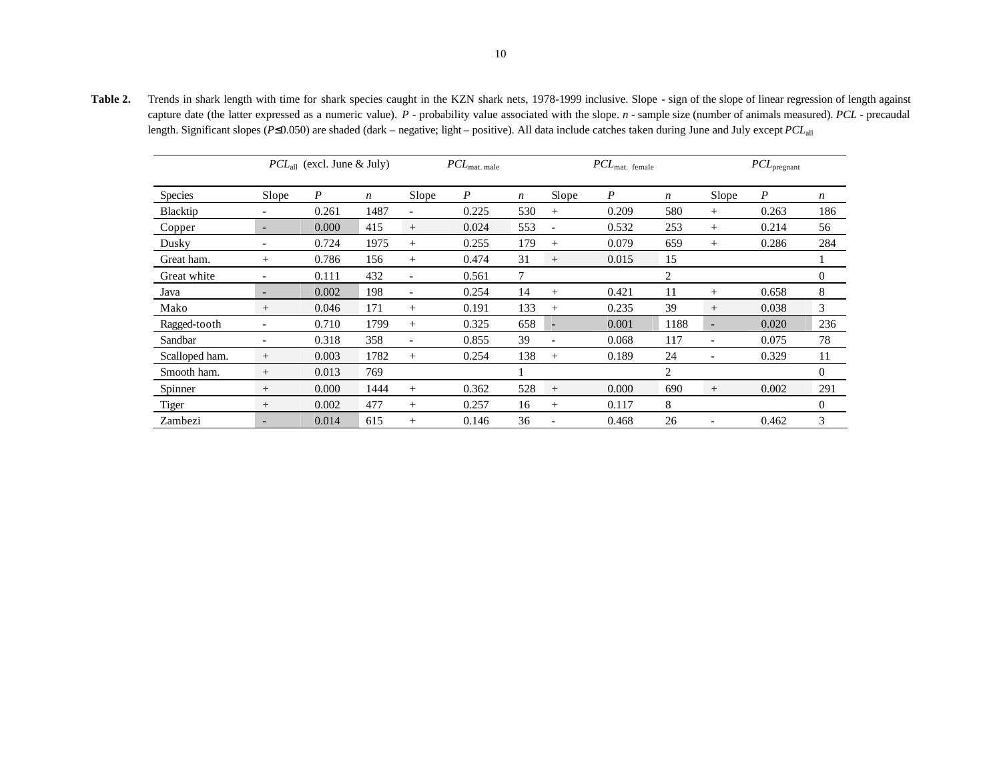Table 2. Trends in shark length with time for shark species caught in the KZN shark nets, 1978-1999 inclusive. Slope - sign of the slope of linear regression of length against capture date (the latter expressed as a numeric value). *P* - probability value associated with the slope. *n* - sample size (number of animals measured). *PCL* - precaudal length. Significant slopes (*P*≤0.050) are shaded (dark – negative; light – positive). All data include catches taken during June and July except *PCL*all

|                |                          | $PCL_{all}$ (excl. June & July) |      | $PCL_{\rm mat.\ male}$   |       |                  |                          | $PCL_{\text{mat. female}}$ |                  | $PCL_{\rm pregnant}$     |                  |                  |  |
|----------------|--------------------------|---------------------------------|------|--------------------------|-------|------------------|--------------------------|----------------------------|------------------|--------------------------|------------------|------------------|--|
| <b>Species</b> | Slope                    | P                               | n    | Slope                    | P     | $\boldsymbol{n}$ | Slope                    | $\boldsymbol{P}$           | $\boldsymbol{n}$ | Slope                    | $\boldsymbol{P}$ | $\boldsymbol{n}$ |  |
| Blacktip       | $\overline{\phantom{a}}$ | 0.261                           | 1487 | $\overline{\phantom{0}}$ | 0.225 | 530              | $^{+}$                   | 0.209                      | 580              | $^{+}$                   | 0.263            | 186              |  |
| Copper         | $\overline{\phantom{a}}$ | 0.000                           | 415  | $^{+}$                   | 0.024 | 553              | $\overline{\phantom{a}}$ | 0.532                      | 253              | $^{+}$                   | 0.214            | 56               |  |
| Dusky          | $\overline{\phantom{a}}$ | 0.724                           | 1975 | $^{+}$                   | 0.255 | 179              | $^{+}$                   | 0.079                      | 659              | $^{+}$                   | 0.286            | 284              |  |
| Great ham.     | $^{+}$                   | 0.786                           | 156  | $^{+}$                   | 0.474 | 31               | $^{+}$                   | 0.015                      | 15               |                          |                  |                  |  |
| Great white    |                          | 0.111                           | 432  | $\overline{\phantom{a}}$ | 0.561 | 7                |                          |                            | $\overline{c}$   |                          |                  | $\mathbf{0}$     |  |
| Java           | $\overline{\phantom{a}}$ | 0.002                           | 198  | $\overline{\phantom{a}}$ | 0.254 | 14               | $^{+}$                   | 0.421                      | 11               | $^{+}$                   | 0.658            | 8                |  |
| Mako           | $+$                      | 0.046                           | 171  | $^{+}$                   | 0.191 | 133              | $+$                      | 0.235                      | 39               | $^{+}$                   | 0.038            | 3                |  |
| Ragged-tooth   | $\overline{\phantom{a}}$ | 0.710                           | 1799 | $+$                      | 0.325 | 658              | $\overline{a}$           | 0.001                      | 1188             | $\overline{a}$           | 0.020            | 236              |  |
| Sandbar        | $\overline{\phantom{a}}$ | 0.318                           | 358  | $\overline{\phantom{a}}$ | 0.855 | 39               | ÷                        | 0.068                      | 117              | $\overline{\phantom{a}}$ | 0.075            | 78               |  |
| Scalloped ham. | $^{+}$                   | 0.003                           | 1782 | $^{+}$                   | 0.254 | 138              | $^{+}$                   | 0.189                      | 24               | $\qquad \qquad -$        | 0.329            | 11               |  |
| Smooth ham.    | $+$                      | 0.013                           | 769  |                          |       |                  |                          |                            | 2                |                          |                  | $\overline{0}$   |  |
| Spinner        | $+$                      | 0.000                           | 1444 | $+$                      | 0.362 | 528              | $^{+}$                   | 0.000                      | 690              | $^{+}$                   | 0.002            | 291              |  |
| <b>Tiger</b>   | $^{+}$                   | 0.002                           | 477  | $^{+}$                   | 0.257 | 16               | $^{+}$                   | 0.117                      | 8                |                          |                  | $\Omega$         |  |
| Zambezi        | $\overline{\phantom{0}}$ | 0.014                           | 615  | $^{+}$                   | 0.146 | 36               |                          | 0.468                      | 26               | ۰                        | 0.462            | 3                |  |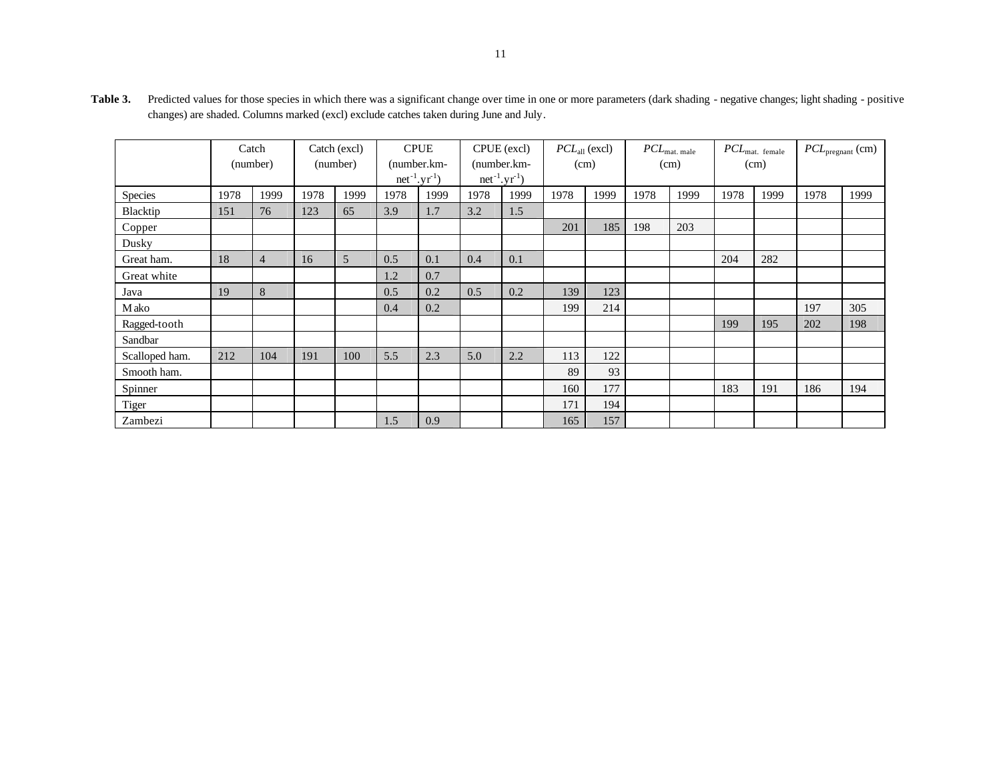|                | Catch<br>(number) |                | Catch (excl)<br>(number) |      | <b>CPUE</b><br>(number.km-<br>$net^{-1}.yr^{-1}$ |      | CPUE (excl)<br>(number.km-<br>$net^{-1}.yr^{-1}$ |      | $PCLall$ (excl)<br>(cm) |      | $PCL_{\text{mat. male}}$<br>(cm) |      | $PCL_{\text{mat. female}}$<br>(cm) |      | $PCL_{pregnant}$ (cm) |      |
|----------------|-------------------|----------------|--------------------------|------|--------------------------------------------------|------|--------------------------------------------------|------|-------------------------|------|----------------------------------|------|------------------------------------|------|-----------------------|------|
|                |                   |                |                          |      |                                                  |      |                                                  |      |                         |      |                                  |      |                                    |      |                       |      |
|                |                   |                |                          |      |                                                  |      |                                                  |      |                         |      |                                  |      |                                    |      |                       |      |
| Species        | 1978              | 1999           | 1978                     | 1999 | 1978                                             | 1999 | 1978                                             | 1999 | 1978                    | 1999 | 1978                             | 1999 | 1978                               | 1999 | 1978                  | 1999 |
| Blacktip       | 151               | 76             | 123                      | 65   | 3.9                                              | 1.7  | 3.2                                              | 1.5  |                         |      |                                  |      |                                    |      |                       |      |
| Copper         |                   |                |                          |      |                                                  |      |                                                  |      | 201                     | 185  | 198                              | 203  |                                    |      |                       |      |
| Dusky          |                   |                |                          |      |                                                  |      |                                                  |      |                         |      |                                  |      |                                    |      |                       |      |
| Great ham.     | 18                | $\overline{4}$ | 16                       | 5    | 0.5                                              | 0.1  | 0.4                                              | 0.1  |                         |      |                                  |      | 204                                | 282  |                       |      |
| Great white    |                   |                |                          |      | 1.2                                              | 0.7  |                                                  |      |                         |      |                                  |      |                                    |      |                       |      |
| Java           | 19                | $8\,$          |                          |      | 0.5                                              | 0.2  | 0.5                                              | 0.2  | 139                     | 123  |                                  |      |                                    |      |                       |      |
| <b>M</b> ako   |                   |                |                          |      | 0.4                                              | 0.2  |                                                  |      | 199                     | 214  |                                  |      |                                    |      | 197                   | 305  |
| Ragged-tooth   |                   |                |                          |      |                                                  |      |                                                  |      |                         |      |                                  |      | 199                                | 195  | 202                   | 198  |
| Sandbar        |                   |                |                          |      |                                                  |      |                                                  |      |                         |      |                                  |      |                                    |      |                       |      |
| Scalloped ham. | 212               | 104            | 191                      | 100  | 5.5                                              | 2.3  | 5.0                                              | 2.2  | 113                     | 122  |                                  |      |                                    |      |                       |      |
| Smooth ham.    |                   |                |                          |      |                                                  |      |                                                  |      | 89                      | 93   |                                  |      |                                    |      |                       |      |
| Spinner        |                   |                |                          |      |                                                  |      |                                                  |      | 160                     | 177  |                                  |      | 183                                | 191  | 186                   | 194  |
| <b>Tiger</b>   |                   |                |                          |      |                                                  |      |                                                  |      | 171                     | 194  |                                  |      |                                    |      |                       |      |
| Zambezi        |                   |                |                          |      | 1.5                                              | 0.9  |                                                  |      | 165                     | 157  |                                  |      |                                    |      |                       |      |

Table 3. Predicted values for those species in which there was a significant change over time in one or more parameters (dark shading - negative changes; light shading - positive changes) are shaded. Columns marked (excl) exclude catches taken during June and July.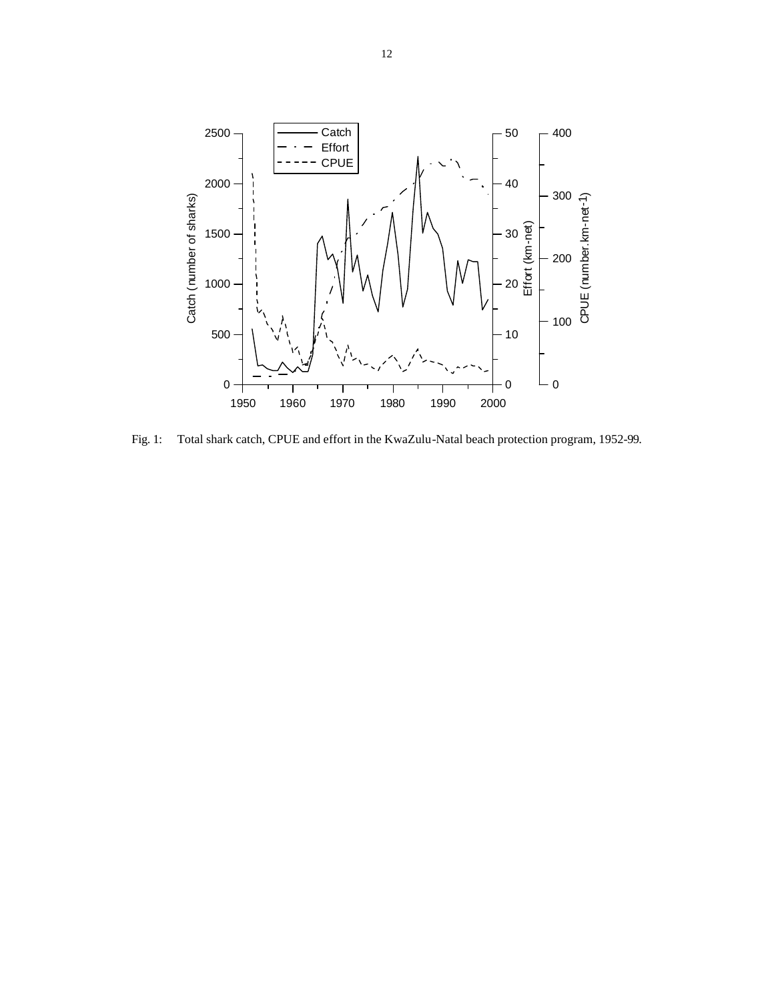

Fig. 1: Total shark catch, CPUE and effort in the KwaZulu-Natal beach protection program, 1952-99.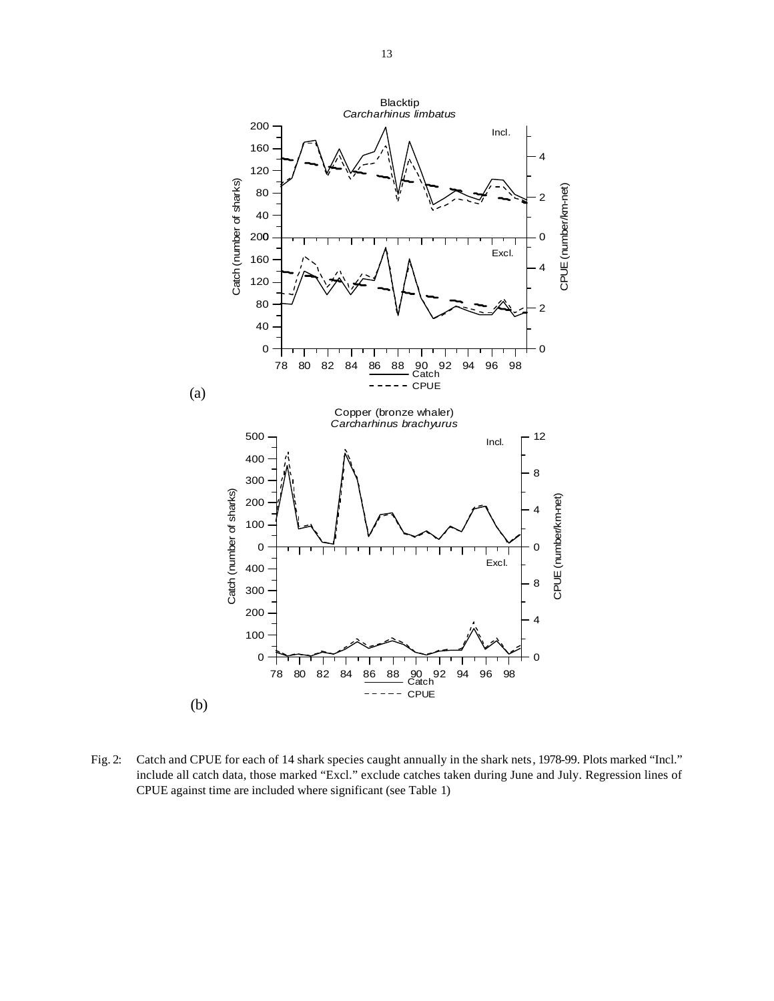

Fig. 2: Catch and CPUE for each of 14 shark species caught annually in the shark nets, 1978-99. Plots marked "Incl." include all catch data, those marked "Excl." exclude catches taken during June and July. Regression lines of CPUE against time are included where significant (see Table 1)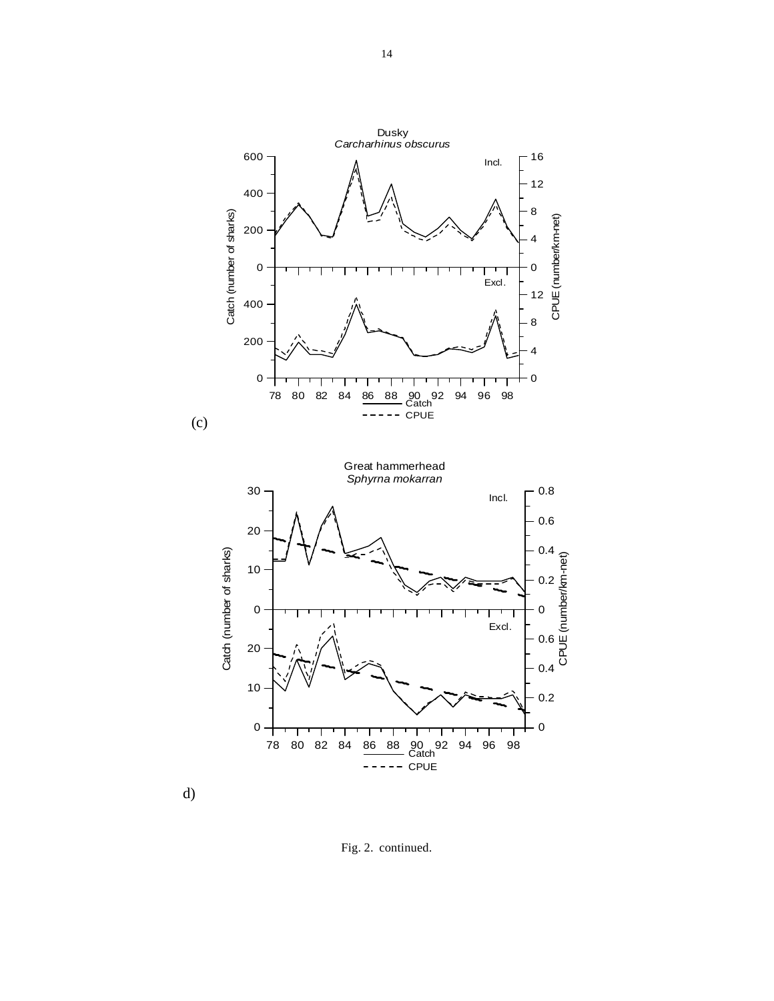



d)

Fig. 2. continued.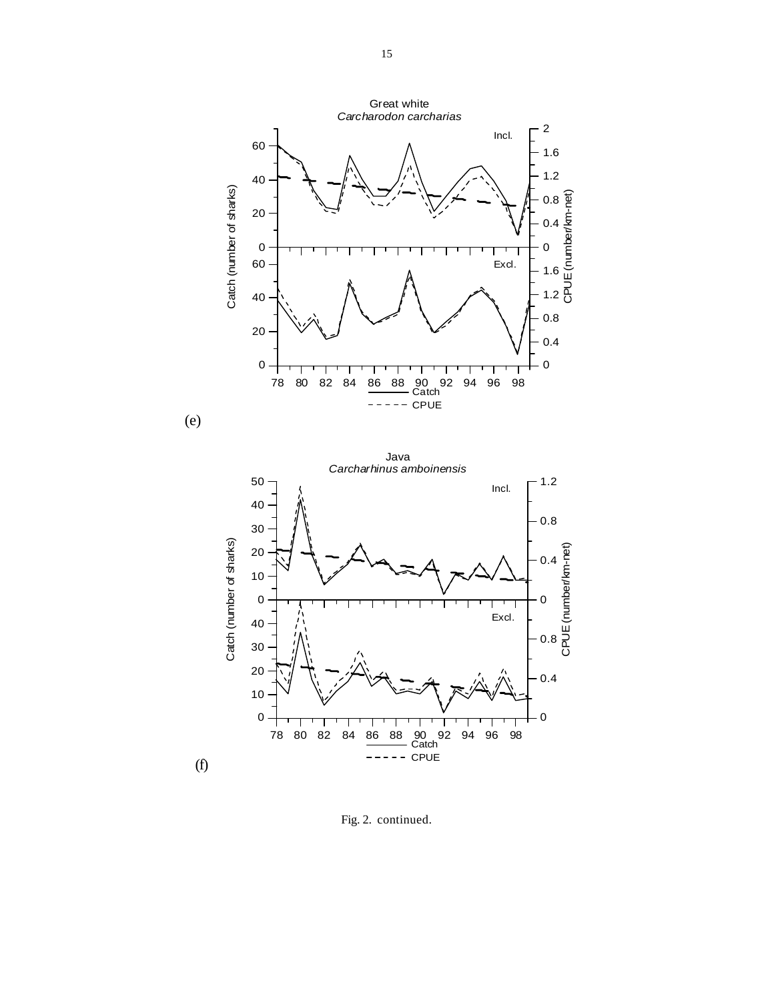Great white *Carcharodon carcharias* 2 Incl. 60 1.6 1.2 40 Catch (number of sharks) atch (number of sharks) E(number/km-net) 0.8 20 0.4 0 0  $\mathbf{I}$ Excl. 60 1.6 n<br>C 1.2 40 0.8 20 0.4 0 0 78 80 82 84 86 88 90 92 94 96 98 Catch CPUE





Fig. 2. continued.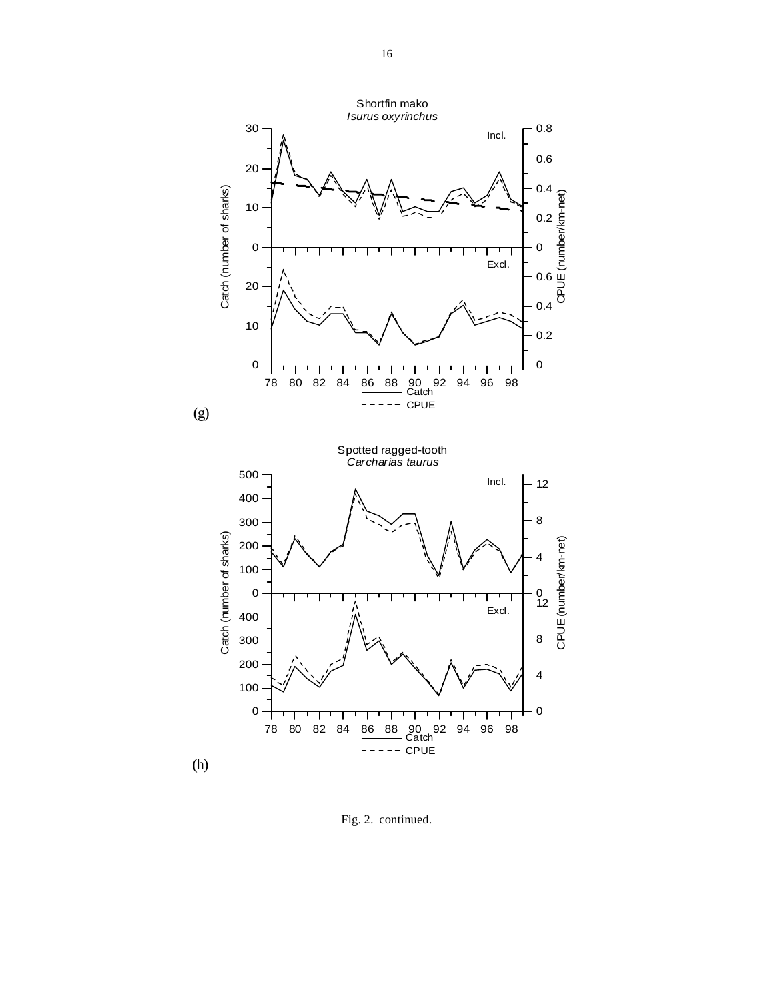

Fig. 2. continued.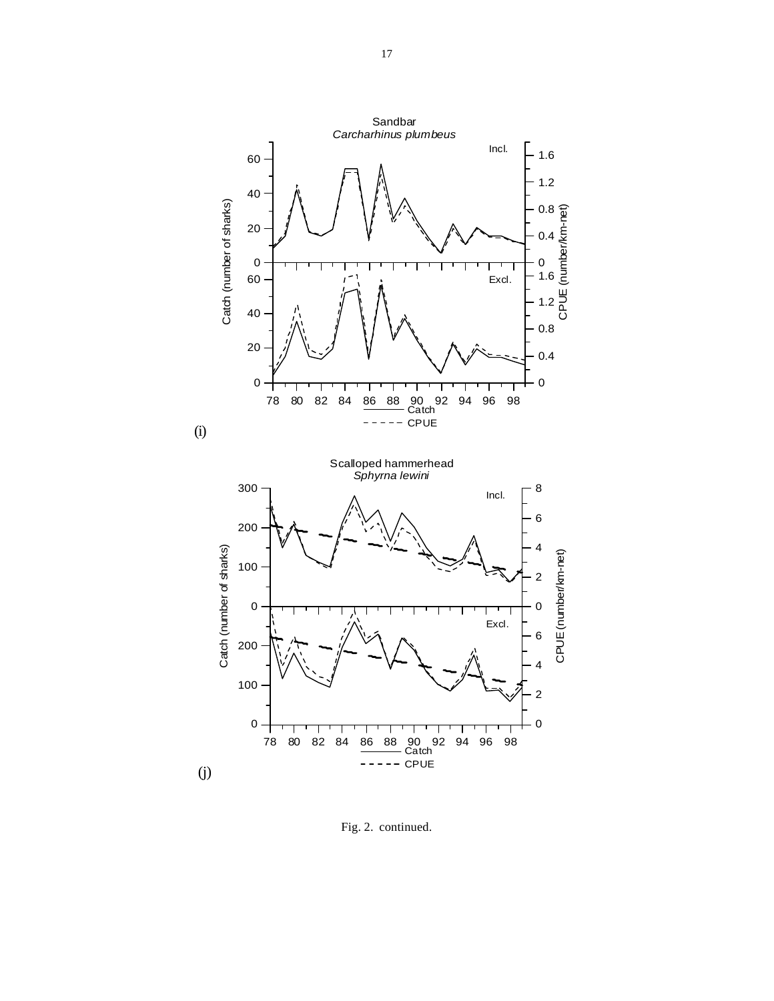

Fig. 2. continued.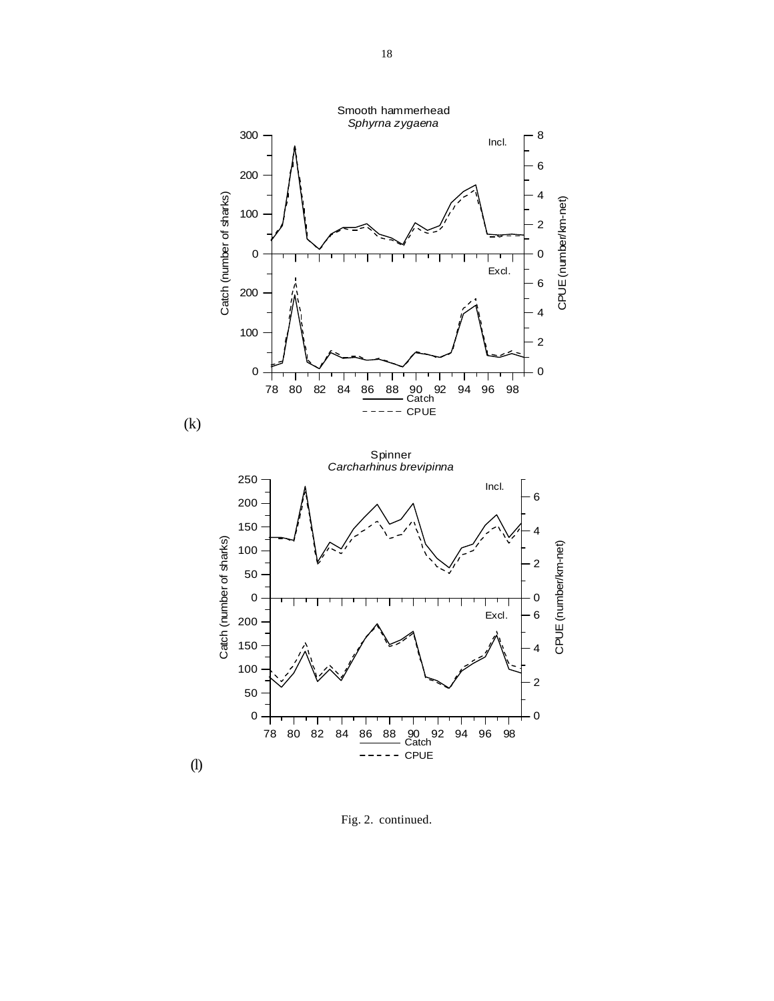

Fig. 2. continued.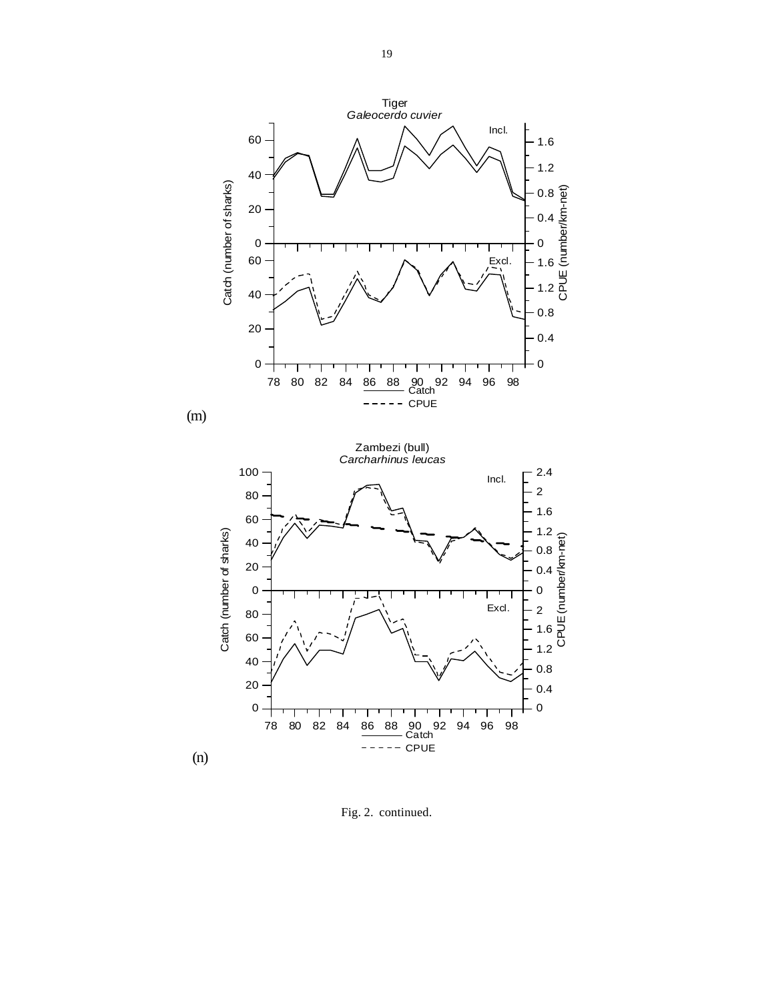

(n)

Fig. 2. continued.

78 80 82 84 86 88 90 92 94 96 98 Catch

 $=$   $-$ 

CPUE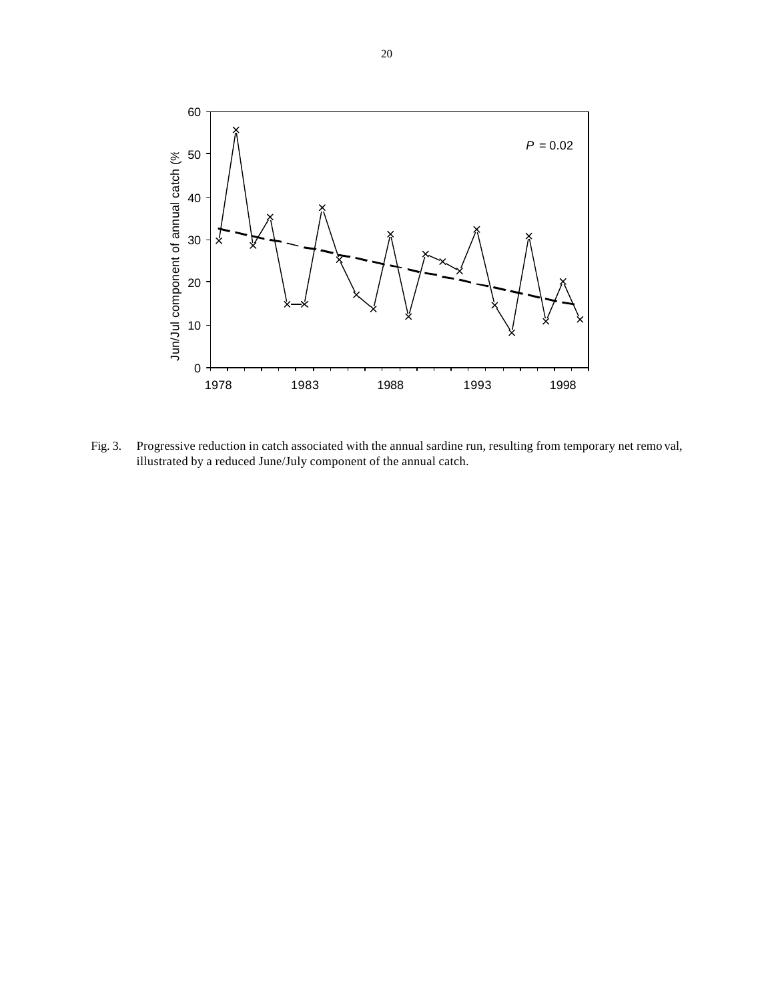

Fig. 3. Progressive reduction in catch associated with the annual sardine run, resulting from temporary net remo val, illustrated by a reduced June/July component of the annual catch.